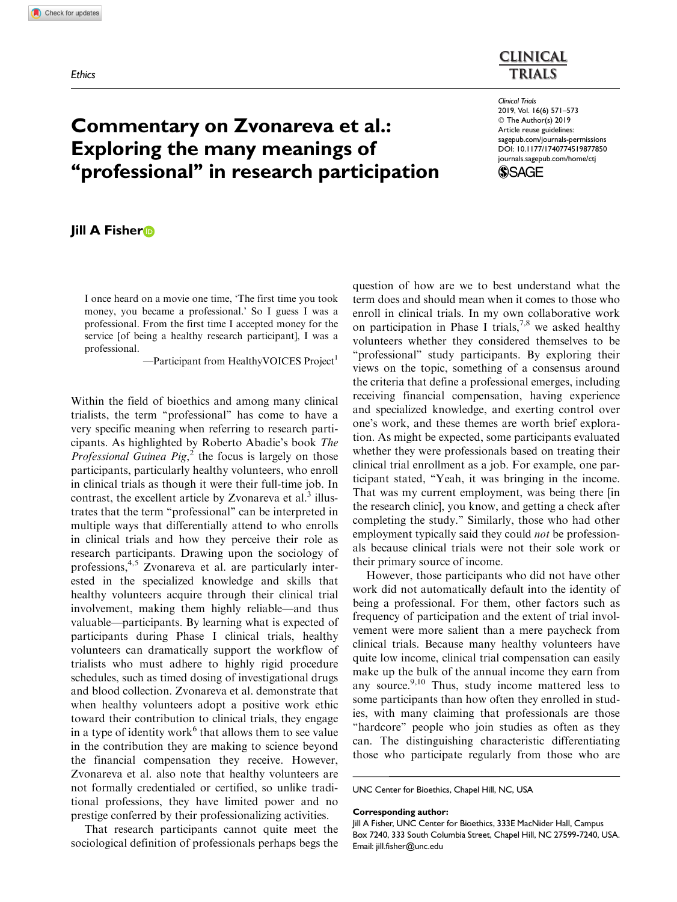

# Commentary on Zvonareva et al.: Exploring the many meanings of ''professional'' in research participation

## Jill A Fisher<sub>D</sub>

I once heard on a movie one time, 'The first time you took money, you became a professional.' So I guess I was a professional. From the first time I accepted money for the service [of being a healthy research participant], I was a professional.

 $-$ Participant from HealthyVOICES Project<sup>1</sup>

Within the field of bioethics and among many clinical trialists, the term ''professional'' has come to have a very specific meaning when referring to research participants. As highlighted by Roberto Abadie's book The *Professional Guinea Pig*,<sup> $\overline{2}$ </sup> the focus is largely on those participants, particularly healthy volunteers, who enroll in clinical trials as though it were their full-time job. In contrast, the excellent article by Zvonareva et al. $3$  illustrates that the term ''professional'' can be interpreted in multiple ways that differentially attend to who enrolls in clinical trials and how they perceive their role as research participants. Drawing upon the sociology of professions,<sup>4,5</sup> Zvonareva et al. are particularly interested in the specialized knowledge and skills that healthy volunteers acquire through their clinical trial involvement, making them highly reliable—and thus valuable—participants. By learning what is expected of participants during Phase I clinical trials, healthy volunteers can dramatically support the workflow of trialists who must adhere to highly rigid procedure schedules, such as timed dosing of investigational drugs and blood collection. Zvonareva et al. demonstrate that when healthy volunteers adopt a positive work ethic toward their contribution to clinical trials, they engage in a type of identity work<sup>6</sup> that allows them to see value in the contribution they are making to science beyond the financial compensation they receive. However, Zvonareva et al. also note that healthy volunteers are not formally credentialed or certified, so unlike traditional professions, they have limited power and no prestige conferred by their professionalizing activities.

That research participants cannot quite meet the sociological definition of professionals perhaps begs the question of how are we to best understand what the term does and should mean when it comes to those who enroll in clinical trials. In my own collaborative work on participation in Phase I trials,<sup>7,8</sup> we asked healthy volunteers whether they considered themselves to be "professional" study participants. By exploring their views on the topic, something of a consensus around the criteria that define a professional emerges, including receiving financial compensation, having experience and specialized knowledge, and exerting control over one's work, and these themes are worth brief exploration. As might be expected, some participants evaluated whether they were professionals based on treating their clinical trial enrollment as a job. For example, one participant stated, ''Yeah, it was bringing in the income. That was my current employment, was being there [in the research clinic], you know, and getting a check after completing the study.'' Similarly, those who had other employment typically said they could *not* be professionals because clinical trials were not their sole work or their primary source of income.

However, those participants who did not have other work did not automatically default into the identity of being a professional. For them, other factors such as frequency of participation and the extent of trial involvement were more salient than a mere paycheck from clinical trials. Because many healthy volunteers have quite low income, clinical trial compensation can easily make up the bulk of the annual income they earn from any source. $9,10$  Thus, study income mattered less to some participants than how often they enrolled in studies, with many claiming that professionals are those "hardcore" people who join studies as often as they can. The distinguishing characteristic differentiating those who participate regularly from those who are

UNC Center for Bioethics, Chapel Hill, NC, USA

#### Corresponding author:

Jill A Fisher, UNC Center for Bioethics, 333E MacNider Hall, Campus Box 7240, 333 South Columbia Street, Chapel Hill, NC 27599-7240, USA. Email: jill.fisher@unc.edu

Clinical Trials 2019, Vol. 16(6) 571–573 © The Author(s) 2019 Article reuse guidelines: [sagepub.com/journals-permissions](https://uk.sagepub.com/en-gb/journals-permissions) [DOI: 10.1177/1740774519877850](https://doi.org/10.1177/1740774519877850) <journals.sagepub.com/home/ctj>

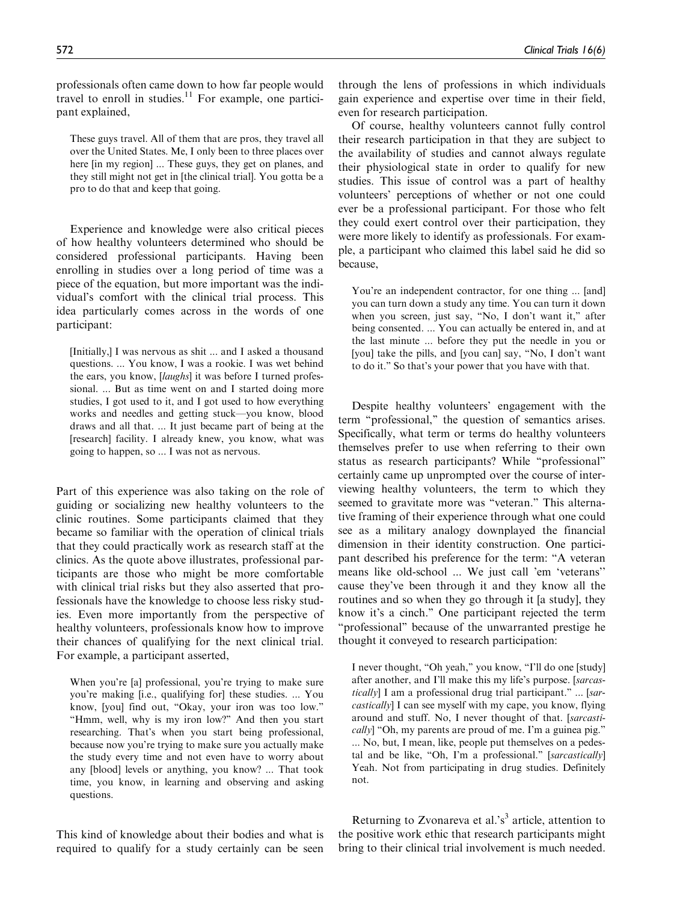professionals often came down to how far people would travel to enroll in studies.<sup>11</sup> For example, one participant explained,

These guys travel. All of them that are pros, they travel all over the United States. Me, I only been to three places over here [in my region] ... These guys, they get on planes, and they still might not get in [the clinical trial]. You gotta be a pro to do that and keep that going.

Experience and knowledge were also critical pieces of how healthy volunteers determined who should be considered professional participants. Having been enrolling in studies over a long period of time was a piece of the equation, but more important was the individual's comfort with the clinical trial process. This idea particularly comes across in the words of one participant:

[Initially,] I was nervous as shit ... and I asked a thousand questions. ... You know, I was a rookie. I was wet behind the ears, you know, [laughs] it was before I turned professional. ... But as time went on and I started doing more studies, I got used to it, and I got used to how everything works and needles and getting stuck—you know, blood draws and all that. ... It just became part of being at the [research] facility. I already knew, you know, what was going to happen, so ... I was not as nervous.

Part of this experience was also taking on the role of guiding or socializing new healthy volunteers to the clinic routines. Some participants claimed that they became so familiar with the operation of clinical trials that they could practically work as research staff at the clinics. As the quote above illustrates, professional participants are those who might be more comfortable with clinical trial risks but they also asserted that professionals have the knowledge to choose less risky studies. Even more importantly from the perspective of healthy volunteers, professionals know how to improve their chances of qualifying for the next clinical trial. For example, a participant asserted,

When you're [a] professional, you're trying to make sure you're making [i.e., qualifying for] these studies. ... You know, [you] find out, "Okay, your iron was too low." "Hmm, well, why is my iron low?" And then you start researching. That's when you start being professional, because now you're trying to make sure you actually make the study every time and not even have to worry about any [blood] levels or anything, you know? ... That took time, you know, in learning and observing and asking questions.

This kind of knowledge about their bodies and what is required to qualify for a study certainly can be seen through the lens of professions in which individuals gain experience and expertise over time in their field, even for research participation.

Of course, healthy volunteers cannot fully control their research participation in that they are subject to the availability of studies and cannot always regulate their physiological state in order to qualify for new studies. This issue of control was a part of healthy volunteers' perceptions of whether or not one could ever be a professional participant. For those who felt they could exert control over their participation, they were more likely to identify as professionals. For example, a participant who claimed this label said he did so because,

You're an independent contractor, for one thing ... [and] you can turn down a study any time. You can turn it down when you screen, just say, "No, I don't want it," after being consented. ... You can actually be entered in, and at the last minute ... before they put the needle in you or [you] take the pills, and [you can] say, "No, I don't want to do it.'' So that's your power that you have with that.

Despite healthy volunteers' engagement with the term ''professional,'' the question of semantics arises. Specifically, what term or terms do healthy volunteers themselves prefer to use when referring to their own status as research participants? While ''professional'' certainly came up unprompted over the course of interviewing healthy volunteers, the term to which they seemed to gravitate more was "veteran." This alternative framing of their experience through what one could see as a military analogy downplayed the financial dimension in their identity construction. One participant described his preference for the term: ''A veteran means like old-school ... We just call 'em 'veterans'' cause they've been through it and they know all the routines and so when they go through it [a study], they know it's a cinch.'' One participant rejected the term "professional" because of the unwarranted prestige he thought it conveyed to research participation:

I never thought, "Oh yeah," you know, "I'll do one [study] after another, and I'll make this my life's purpose. [sarcastically] I am a professional drug trial participant." ... [sarcastically] I can see myself with my cape, you know, flying around and stuff. No, I never thought of that. [sarcasti- $\text{call }$  "Oh, my parents are proud of me. I'm a guinea pig." ... No, but, I mean, like, people put themselves on a pedestal and be like, "Oh, I'm a professional." [sarcastically] Yeah. Not from participating in drug studies. Definitely not.

Returning to Zvonareva et al.'s<sup>3</sup> article, attention to the positive work ethic that research participants might bring to their clinical trial involvement is much needed.